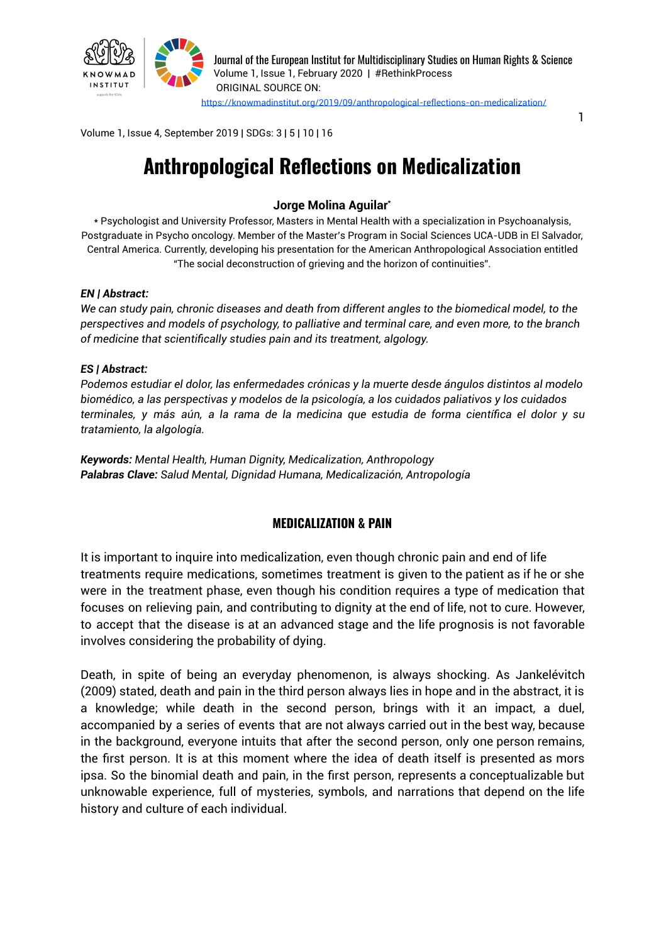

Journal of the European Institut for Multidisciplinary Studies on Human Rights & Science Volume 1, Issue 1, February 2020 | #RethinkProcess ORIGINAL SOURCE ON: <https://knowmadinstitut.org/2019/09/anthropological-reflections-on-medicalization/>

1

Volume 1, Issue 4, September 2019 | SDGs: 3 | 5 | 10 | 16

# **Anthropological Reflections on Medicalization**

#### **Jorge Molina Aguilar\***

\* Psychologist and University Professor, Masters in Mental Health with a specialization in Psychoanalysis, Postgraduate in Psycho oncology. Member of the Master's Program in Social Sciences UCA-UDB in El Salvador, Central America. Currently, developing his presentation for the American Anthropological Association entitled "The social deconstruction of grieving and the horizon of continuities".

#### *EN | Abstract:*

*We can study pain, chronic diseases and death from different angles to the biomedical model, to the perspectives and models of psychology, to palliative and terminal care, and even more, to the branch of medicine that scientifically studies pain and its treatment, algology.*

#### *ES | Abstract:*

*Podemos estudiar el dolor, las enfermedades crónicas y la muerte desde ángulos distintos al modelo biomédico, a las perspectivas y modelos de la psicología, a los cuidados paliativos y los cuidados* terminales, y más aún, a la rama de la medicina que estudia de forma científica el dolor y su *tratamiento, la algología.*

*Keywords: Mental Health, Human Dignity, Medicalization, Anthropology Palabras Clave: Salud Mental, Dignidad Humana, Medicalización, Antropología*

#### **MEDICALIZATION & PAIN**

It is important to inquire into medicalization, even though chronic pain and end of life treatments require medications, sometimes treatment is given to the patient as if he or she were in the treatment phase, even though his condition requires a type of medication that focuses on relieving pain, and contributing to dignity at the end of life, not to cure. However, to accept that the disease is at an advanced stage and the life prognosis is not favorable involves considering the probability of dying.

Death, in spite of being an everyday phenomenon, is always shocking. As Jankelévitch (2009) stated, death and pain in the third person always lies in hope and in the abstract, it is a knowledge; while death in the second person, brings with it an impact, a duel, accompanied by a series of events that are not always carried out in the best way, because in the background, everyone intuits that after the second person, only one person remains, the first person. It is at this moment where the idea of death itself is presented as mors ipsa. So the binomial death and pain, in the first person, represents a conceptualizable but unknowable experience, full of mysteries, symbols, and narrations that depend on the life history and culture of each individual.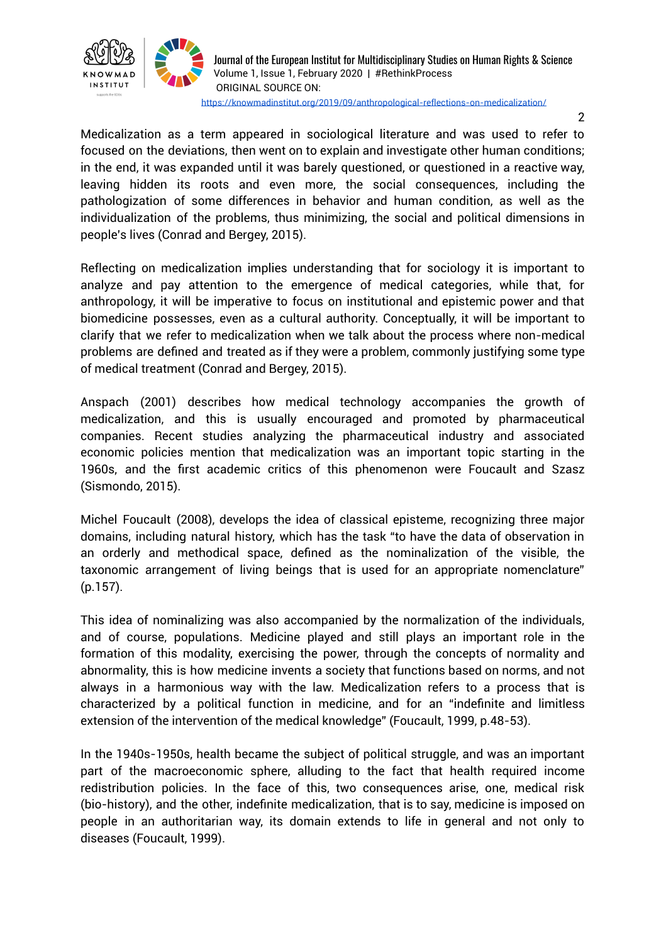

2

Medicalization as a term appeared in sociological literature and was used to refer to focused on the deviations, then went on to explain and investigate other human conditions; in the end, it was expanded until it was barely questioned, or questioned in a reactive way, leaving hidden its roots and even more, the social consequences, including the pathologization of some differences in behavior and human condition, as well as the individualization of the problems, thus minimizing, the social and political dimensions in people's lives (Conrad and Bergey, 2015).

Reflecting on medicalization implies understanding that for sociology it is important to analyze and pay attention to the emergence of medical categories, while that, for anthropology, it will be imperative to focus on institutional and epistemic power and that biomedicine possesses, even as a cultural authority. Conceptually, it will be important to clarify that we refer to medicalization when we talk about the process where non-medical problems are defined and treated as if they were a problem, commonly justifying some type of medical treatment (Conrad and Bergey, 2015).

Anspach (2001) describes how medical technology accompanies the growth of medicalization, and this is usually encouraged and promoted by pharmaceutical companies. Recent studies analyzing the pharmaceutical industry and associated economic policies mention that medicalization was an important topic starting in the 1960s, and the first academic critics of this phenomenon were Foucault and Szasz (Sismondo, 2015).

Michel Foucault (2008), develops the idea of classical episteme, recognizing three major domains, including natural history, which has the task "to have the data of observation in an orderly and methodical space, defined as the nominalization of the visible, the taxonomic arrangement of living beings that is used for an appropriate nomenclature" (p.157).

This idea of nominalizing was also accompanied by the normalization of the individuals, and of course, populations. Medicine played and still plays an important role in the formation of this modality, exercising the power, through the concepts of normality and abnormality, this is how medicine invents a society that functions based on norms, and not always in a harmonious way with the law. Medicalization refers to a process that is characterized by a political function in medicine, and for an "indefinite and limitless extension of the intervention of the medical knowledge" (Foucault, 1999, p.48-53).

In the 1940s-1950s, health became the subject of political struggle, and was an important part of the macroeconomic sphere, alluding to the fact that health required income redistribution policies. In the face of this, two consequences arise, one, medical risk (bio-history), and the other, indefinite medicalization, that is to say, medicine is imposed on people in an authoritarian way, its domain extends to life in general and not only to diseases (Foucault, 1999).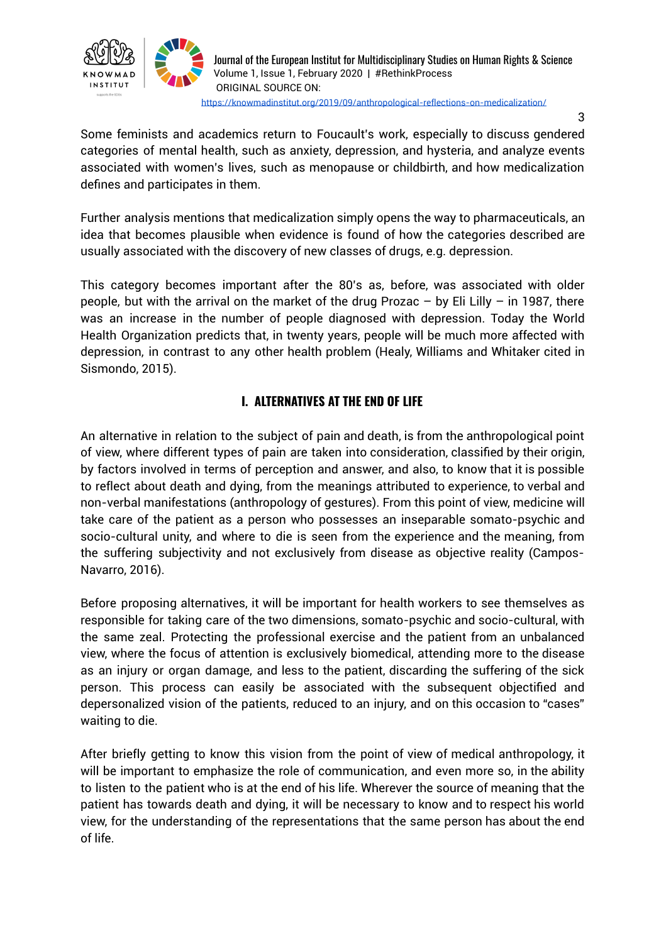

3

Some feminists and academics return to Foucault's work, especially to discuss gendered categories of mental health, such as anxiety, depression, and hysteria, and analyze events associated with women's lives, such as menopause or childbirth, and how medicalization defines and participates in them.

Further analysis mentions that medicalization simply opens the way to pharmaceuticals, an idea that becomes plausible when evidence is found of how the categories described are usually associated with the discovery of new classes of drugs, e.g. depression.

This category becomes important after the 80's as, before, was associated with older people, but with the arrival on the market of the drug Prozac – by Eli Lilly – in 1987, there was an increase in the number of people diagnosed with depression. Today the World Health Organization predicts that, in twenty years, people will be much more affected with depression, in contrast to any other health problem (Healy, Williams and Whitaker cited in Sismondo, 2015).

# **I. ALTERNATIVES AT THE END OF LIFE**

An alternative in relation to the subject of pain and death, is from the anthropological point of view, where different types of pain are taken into consideration, classified by their origin, by factors involved in terms of perception and answer, and also, to know that it is possible to reflect about death and dying, from the meanings attributed to experience, to verbal and non-verbal manifestations (anthropology of gestures). From this point of view, medicine will take care of the patient as a person who possesses an inseparable somato-psychic and socio-cultural unity, and where to die is seen from the experience and the meaning, from the suffering subjectivity and not exclusively from disease as objective reality (Campos-Navarro, 2016).

Before proposing alternatives, it will be important for health workers to see themselves as responsible for taking care of the two dimensions, somato-psychic and socio-cultural, with the same zeal. Protecting the professional exercise and the patient from an unbalanced view, where the focus of attention is exclusively biomedical, attending more to the disease as an injury or organ damage, and less to the patient, discarding the suffering of the sick person. This process can easily be associated with the subsequent objectified and depersonalized vision of the patients, reduced to an injury, and on this occasion to "cases" waiting to die.

After briefly getting to know this vision from the point of view of medical anthropology, it will be important to emphasize the role of communication, and even more so, in the ability to listen to the patient who is at the end of his life. Wherever the source of meaning that the patient has towards death and dying, it will be necessary to know and to respect his world view, for the understanding of the representations that the same person has about the end of life.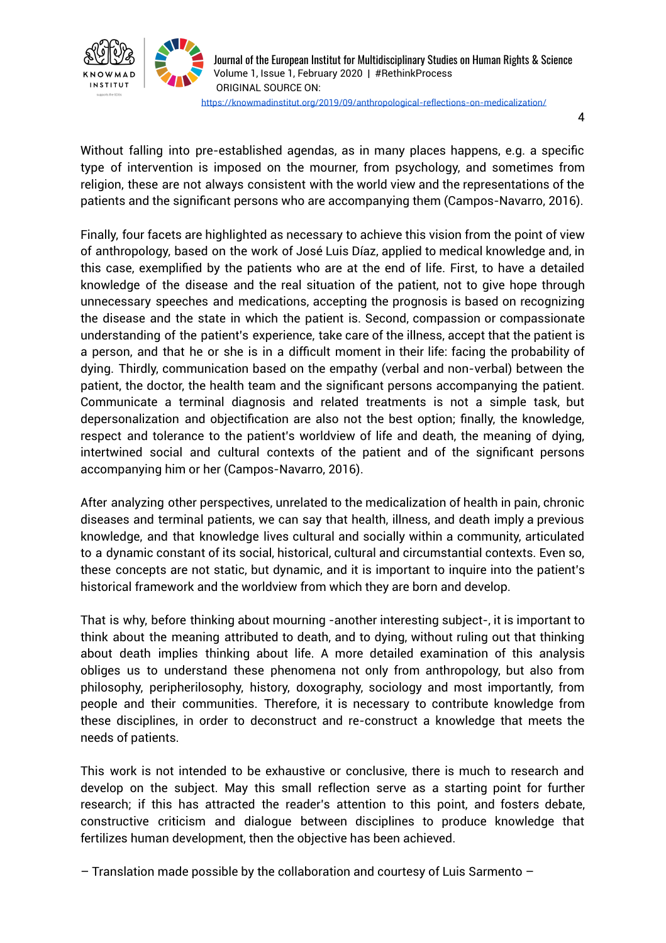

Journal of the European Institut for Multidisciplinary Studies on Human Rights & Science Volume 1, Issue 1, February 2020 | #RethinkProcess ORIGINAL SOURCE ON: <https://knowmadinstitut.org/2019/09/anthropological-reflections-on-medicalization/>

4

Without falling into pre-established agendas, as in many places happens, e.g. a specific type of intervention is imposed on the mourner, from psychology, and sometimes from religion, these are not always consistent with the world view and the representations of the patients and the significant persons who are accompanying them (Campos-Navarro, 2016).

Finally, four facets are highlighted as necessary to achieve this vision from the point of view of anthropology, based on the work of José Luis Díaz, applied to medical knowledge and, in this case, exemplified by the patients who are at the end of life. First, to have a detailed knowledge of the disease and the real situation of the patient, not to give hope through unnecessary speeches and medications, accepting the prognosis is based on recognizing the disease and the state in which the patient is. Second, compassion or compassionate understanding of the patient's experience, take care of the illness, accept that the patient is a person, and that he or she is in a difficult moment in their life: facing the probability of dying. Thirdly, communication based on the empathy (verbal and non-verbal) between the patient, the doctor, the health team and the significant persons accompanying the patient. Communicate a terminal diagnosis and related treatments is not a simple task, but depersonalization and objectification are also not the best option; finally, the knowledge, respect and tolerance to the patient's worldview of life and death, the meaning of dying, intertwined social and cultural contexts of the patient and of the significant persons accompanying him or her (Campos-Navarro, 2016).

After analyzing other perspectives, unrelated to the medicalization of health in pain, chronic diseases and terminal patients, we can say that health, illness, and death imply a previous knowledge, and that knowledge lives cultural and socially within a community, articulated to a dynamic constant of its social, historical, cultural and circumstantial contexts. Even so, these concepts are not static, but dynamic, and it is important to inquire into the patient's historical framework and the worldview from which they are born and develop.

That is why, before thinking about mourning -another interesting subject-, it is important to think about the meaning attributed to death, and to dying, without ruling out that thinking about death implies thinking about life. A more detailed examination of this analysis obliges us to understand these phenomena not only from anthropology, but also from philosophy, peripherilosophy, history, doxography, sociology and most importantly, from people and their communities. Therefore, it is necessary to contribute knowledge from these disciplines, in order to deconstruct and re-construct a knowledge that meets the needs of patients.

This work is not intended to be exhaustive or conclusive, there is much to research and develop on the subject. May this small reflection serve as a starting point for further research; if this has attracted the reader's attention to this point, and fosters debate, constructive criticism and dialogue between disciplines to produce knowledge that fertilizes human development, then the objective has been achieved.

– Translation made possible by the collaboration and courtesy of Luis Sarmento –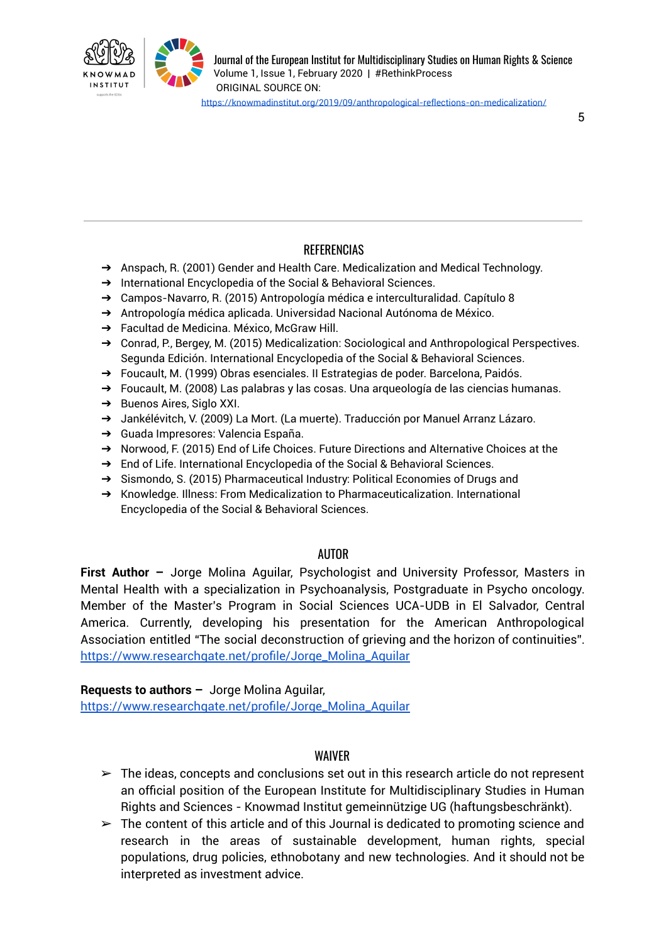

# REFERENCIAS

- ➔ Anspach, R. (2001) Gender and Health Care. Medicalization and Medical Technology.
- → International Encyclopedia of the Social & Behavioral Sciences.
- ➔ Campos-Navarro, R. (2015) Antropología médica e interculturalidad. Capítulo 8
- ➔ Antropología médica aplicada. Universidad Nacional Autónoma de México.
- → Facultad de Medicina. México, McGraw Hill.
- ➔ Conrad, P., Bergey, M. (2015) Medicalization: Sociological and Anthropological Perspectives. Segunda Edición. International Encyclopedia of the Social & Behavioral Sciences.
- ➔ Foucault, M. (1999) Obras esenciales. II Estrategias de poder. Barcelona, Paidós.
- ➔ Foucault, M. (2008) Las palabras y las cosas. Una arqueología de las ciencias humanas.
- → Buenos Aires, Siglo XXI.
- ➔ Jankélévitch, V. (2009) La Mort. (La muerte). Traducción por Manuel Arranz Lázaro.
- ➔ Guada Impresores: Valencia España.
- ➔ Norwood, F. (2015) End of Life Choices. Future Directions and Alternative Choices at the
- → End of Life. International Encyclopedia of the Social & Behavioral Sciences.
- ➔ Sismondo, S. (2015) Pharmaceutical Industry: Political Economies of Drugs and
- ➔ Knowledge. Illness: From Medicalization to Pharmaceuticalization. International Encyclopedia of the Social & Behavioral Sciences.

## AUTOR

**First Author –** Jorge Molina Aguilar, Psychologist and University Professor, Masters in Mental Health with a specialization in Psychoanalysis, Postgraduate in Psycho oncology. Member of the Master's Program in Social Sciences UCA-UDB in El Salvador, Central America. Currently, developing his presentation for the American Anthropological Association entitled "The social deconstruction of grieving and the horizon of continuities". [https://www.researchgate.net/profile/Jorge\\_Molina\\_Aguilar](https://www.researchgate.net/profile/Jorge_Molina_Aguilar)

**Requests to authors –** Jorge Molina Aguilar,

[https://www.researchgate.net/profile/Jorge\\_Molina\\_Aguilar](https://www.researchgate.net/profile/Jorge_Molina_Aguilar)

## WAIVER

- $\triangleright$  The ideas, concepts and conclusions set out in this research article do not represent an official position of the European Institute for Multidisciplinary Studies in Human Rights and Sciences - Knowmad Institut gemeinnützige UG (haftungsbeschränkt).
- $\triangleright$  The content of this article and of this Journal is dedicated to promoting science and research in the areas of sustainable development, human rights, special populations, drug policies, ethnobotany and new technologies. And it should not be interpreted as investment advice.